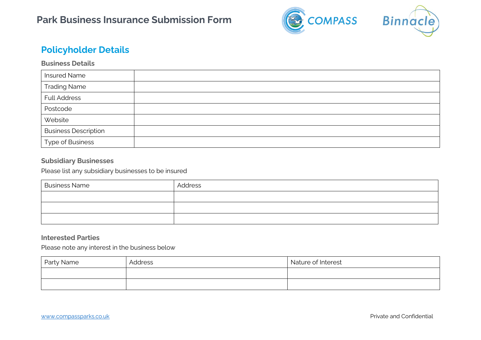

# **Policyholder Details**

## **Business Details**

| <b>Insured Name</b>         |  |
|-----------------------------|--|
| <b>Trading Name</b>         |  |
| <b>Full Address</b>         |  |
| Postcode                    |  |
| Website                     |  |
| <b>Business Description</b> |  |
| <b>Type of Business</b>     |  |

## **Subsidiary Businesses**

Please list any subsidiary businesses to be insured

| <b>Business Name</b> | Address |
|----------------------|---------|
|                      |         |
|                      |         |
|                      |         |

### **Interested Parties**

Please note any interest in the business below

| Party Name | Address | Nature of Interest |
|------------|---------|--------------------|
|            |         |                    |
|            |         |                    |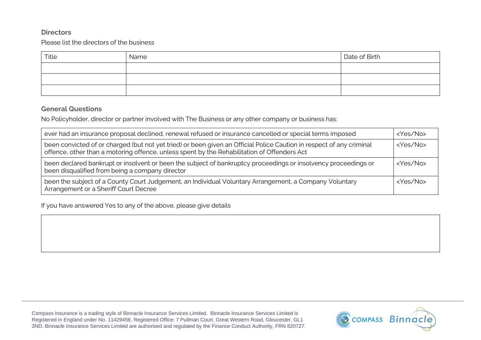## **Directors**

Please list the directors of the business

| Title | Name | Date of Birth |
|-------|------|---------------|
|       |      |               |
|       |      |               |
|       |      |               |

## **General Questions**

No Policyholder, director or partner involved with The Business or any other company or business has:

| ever had an insurance proposal declined, renewal refused or insurance cancelled or special terms imposed                                                                                                            |                   |  |
|---------------------------------------------------------------------------------------------------------------------------------------------------------------------------------------------------------------------|-------------------|--|
| been convicted of or charged (but not yet tried) or been given an Official Police Caution in respect of any criminal<br>offence, other than a motoring offence, unless spent by the Rehabilitation of Offenders Act | <yes no=""></yes> |  |
| been declared bankrupt or insolvent or been the subject of bankruptcy proceedings or insolvency proceedings or<br>been disqualified from being a company director                                                   | <yes no=""></yes> |  |
| been the subject of a County Court Judgement, an Individual Voluntary Arrangement, a Company Voluntary<br>Arrangement or a Sheriff Court Decree                                                                     | <yes no=""></yes> |  |

If you have answered Yes to any of the above, please give details

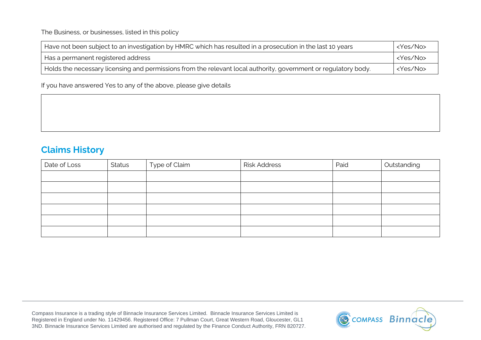The Business, or businesses, listed in this policy

| Have not been subject to an investigation by HMRC which has resulted in a prosecution in the last 10 years      |                   |
|-----------------------------------------------------------------------------------------------------------------|-------------------|
| <yes no=""><br/>Has a permanent registered address</yes>                                                        |                   |
| Holds the necessary licensing and permissions from the relevant local authority, government or regulatory body. | <yes no=""></yes> |

If you have answered Yes to any of the above, please give details

# **Claims History**

| Date of Loss | <b>Status</b> | Type of Claim | <b>Risk Address</b> | Paid | Outstanding |
|--------------|---------------|---------------|---------------------|------|-------------|
|              |               |               |                     |      |             |
|              |               |               |                     |      |             |
|              |               |               |                     |      |             |
|              |               |               |                     |      |             |
|              |               |               |                     |      |             |
|              |               |               |                     |      |             |

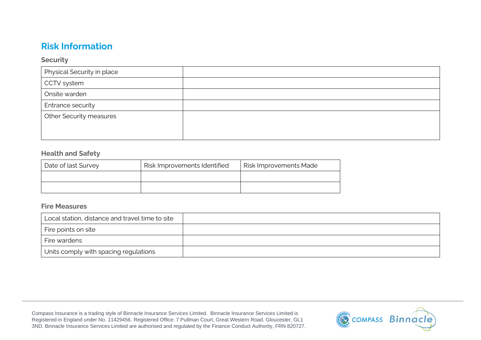# **Risk Information**

#### **Security**

| Physical Security in place     |  |
|--------------------------------|--|
| CCTV system                    |  |
| Onsite warden                  |  |
| Entrance security              |  |
| <b>Other Security measures</b> |  |
|                                |  |
|                                |  |

## **Health and Safety**

| Date of last Survey | Risk Improvements Identified | <b>Risk Improvements Made</b> |
|---------------------|------------------------------|-------------------------------|
|                     |                              |                               |
|                     |                              |                               |

## **Fire Measures**

| Local station, distance and travel time to site |  |
|-------------------------------------------------|--|
| Fire points on site                             |  |
| Fire wardens                                    |  |
| Units comply with spacing regulations           |  |

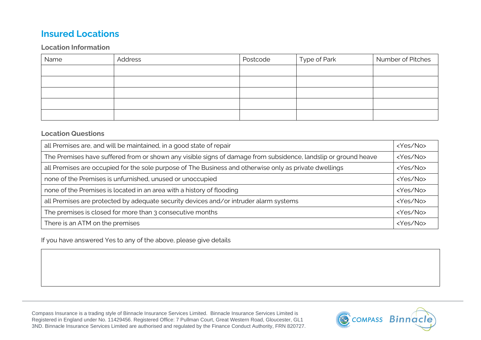# **Insured Locations**

## **Location Information**

| Name | Address | Postcode | Type of Park | Number of Pitches |
|------|---------|----------|--------------|-------------------|
|      |         |          |              |                   |
|      |         |          |              |                   |
|      |         |          |              |                   |
|      |         |          |              |                   |
|      |         |          |              |                   |

#### **Location Questions**

| all Premises are, and will be maintained, in a good state of repair                                            |                   |
|----------------------------------------------------------------------------------------------------------------|-------------------|
| The Premises have suffered from or shown any visible signs of damage from subsidence, landslip or ground heave |                   |
| all Premises are occupied for the sole purpose of The Business and otherwise only as private dwellings         | <yes no=""></yes> |
| none of the Premises is unfurnished, unused or unoccupied                                                      |                   |
| none of the Premises is located in an area with a history of flooding                                          |                   |
| all Premises are protected by adequate security devices and/or intruder alarm systems                          |                   |
| The premises is closed for more than 3 consecutive months                                                      |                   |
| There is an ATM on the premises                                                                                | <yes no=""></yes> |

If you have answered Yes to any of the above, please give details

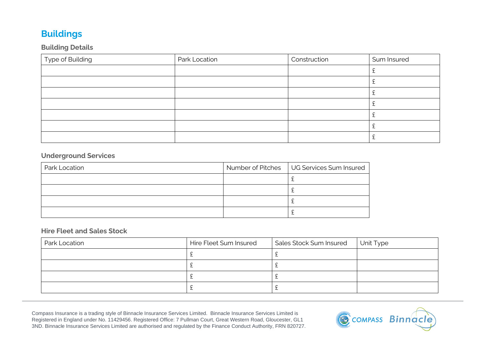# **Buildings**

# **Building Details**

| Type of Building | Park Location | Construction | Sum Insured |
|------------------|---------------|--------------|-------------|
|                  |               |              |             |
|                  |               |              |             |
|                  |               |              |             |
|                  |               |              |             |
|                  |               |              |             |
|                  |               |              |             |
|                  |               |              |             |

# **Underground Services**

| Park Location | Number of Pitches   UG Services Sum Insured |
|---------------|---------------------------------------------|
|               |                                             |
|               |                                             |
|               |                                             |
|               |                                             |

# **Hire Fleet and Sales Stock**

| Park Location | Hire Fleet Sum Insured | Sales Stock Sum Insured | Unit Type |
|---------------|------------------------|-------------------------|-----------|
|               |                        |                         |           |
|               |                        |                         |           |
|               |                        |                         |           |
|               |                        |                         |           |

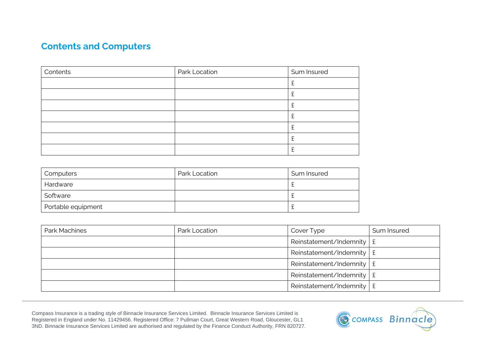# **Contents and Computers**

| Contents | Park Location | Sum Insured |
|----------|---------------|-------------|
|          |               |             |
|          |               |             |
|          |               |             |
|          |               |             |
|          |               |             |
|          |               |             |
|          |               |             |

| Computers          | Park Location | Sum Insured |
|--------------------|---------------|-------------|
| Hardware           |               |             |
| Software           |               |             |
| Portable equipment |               |             |

| Park Machines | Park Location | Cover Type                            | Sum Insured |
|---------------|---------------|---------------------------------------|-------------|
|               |               | Reinstatement/Indemnity $\frac{1}{2}$ |             |
|               |               | Reinstatement/Indemnity $\frac{1}{2}$ |             |
|               |               | Reinstatement/Indemnity $\frac{1}{2}$ |             |
|               |               | Reinstatement/Indemnity $\frac{1}{2}$ |             |
|               |               | Reinstatement/Indemnity $\frac{1}{2}$ |             |

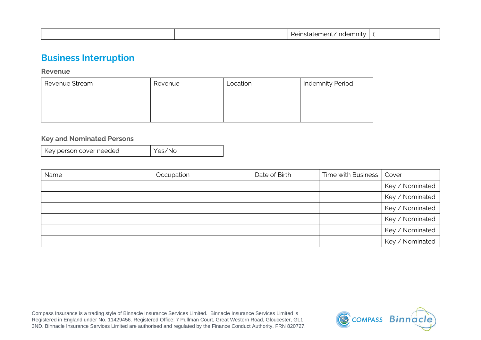|  |  | $\cdot$ .<br><br>nne.<br>mnity<br>nde.<br>.ner<br>nstatei | - |
|--|--|-----------------------------------------------------------|---|
|--|--|-----------------------------------------------------------|---|

# **Business Interruption**

**Revenue**

| Revenue Stream | Revenue | Location | <b>Indemnity Period</b> |
|----------------|---------|----------|-------------------------|
|                |         |          |                         |
|                |         |          |                         |
|                |         |          |                         |

## **Key and Nominated Persons**

| Key person cover needed | Yes/No |
|-------------------------|--------|
|-------------------------|--------|

| Name | Occupation | Date of Birth | Time with Business   Cover |                 |
|------|------------|---------------|----------------------------|-----------------|
|      |            |               |                            | Key / Nominated |
|      |            |               |                            | Key / Nominated |
|      |            |               |                            | Key / Nominated |
|      |            |               |                            | Key / Nominated |
|      |            |               |                            | Key / Nominated |
|      |            |               |                            | Key / Nominated |

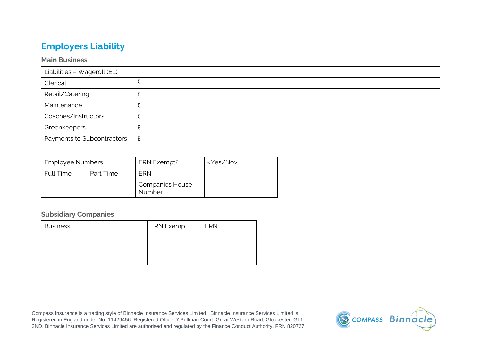# **Employers Liability**

## **Main Business**

| Liabilities - Wageroll (EL) |   |
|-----------------------------|---|
| Clerical                    |   |
| Retail/Catering             | ∸ |
| Maintenance                 |   |
| Coaches/Instructors         |   |
| Greenkeepers                | ∼ |
| Payments to Subcontractors  | £ |

| <b>Employee Numbers</b> |           | ERN Exempt?                      | <yes no=""></yes> |
|-------------------------|-----------|----------------------------------|-------------------|
| <b>Full Time</b>        | Part Time | <b>FRN</b>                       |                   |
|                         |           | <b>Companies House</b><br>Number |                   |

### **Subsidiary Companies**

| <b>Business</b> | <b>ERN Exempt</b> | <b>ERN</b> |
|-----------------|-------------------|------------|
|                 |                   |            |
|                 |                   |            |
|                 |                   |            |

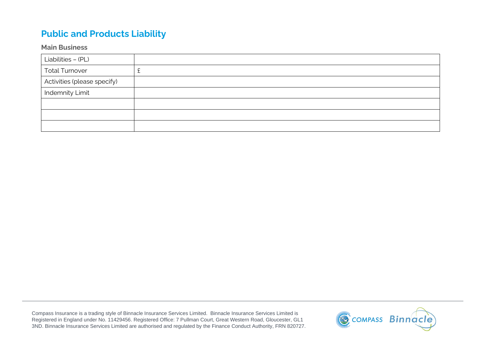# **Public and Products Liability**

## **Main Business**

| Liabilities - (PL)          |          |
|-----------------------------|----------|
| <b>Total Turnover</b>       | <u>_</u> |
| Activities (please specify) |          |
| <b>Indemnity Limit</b>      |          |
|                             |          |
|                             |          |
|                             |          |

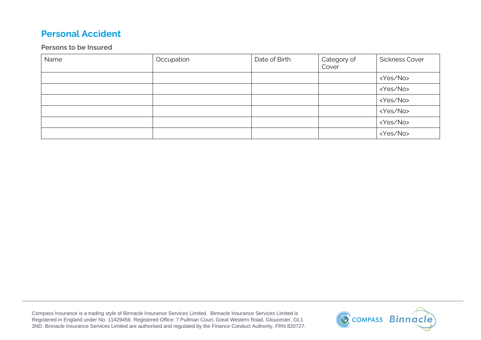# **Personal Accident**

## **Persons to be Insured**

| Name | Occupation | Date of Birth | Category of<br>Cover | <b>Sickness Cover</b> |
|------|------------|---------------|----------------------|-----------------------|
|      |            |               |                      | <yes no=""></yes>     |
|      |            |               |                      | <yes no=""></yes>     |
|      |            |               |                      | <yes no=""></yes>     |
|      |            |               |                      | <yes no=""></yes>     |
|      |            |               |                      | <yes no=""></yes>     |
|      |            |               |                      | <yes no=""></yes>     |